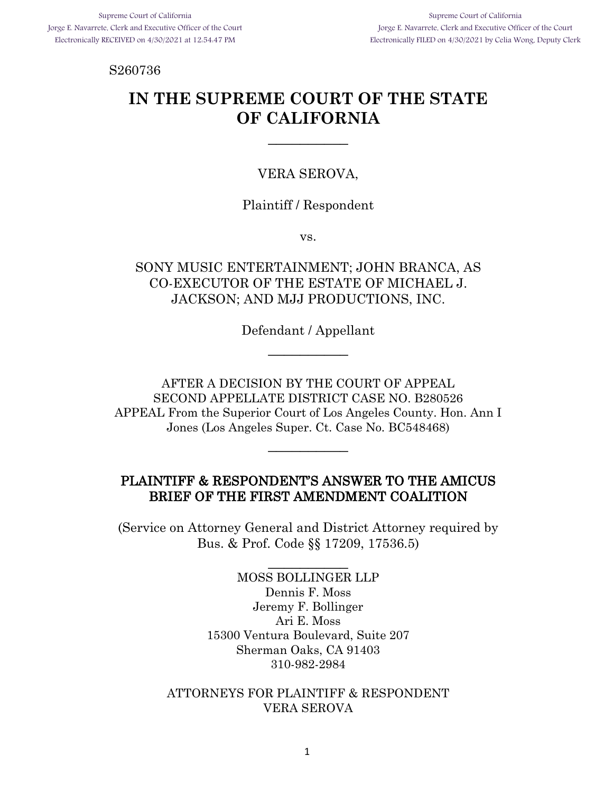Supreme Court of California Jorge E. Navarrete, Clerk and Executive Officer of the Court Electronically FILED on 4/30/2021 by Celia Wong, Deputy Clerk

S260736

# **IN THE SUPREME COURT OF THE STATE OF CALIFORNIA**

\_\_\_\_\_\_\_\_\_\_

#### VERA SEROVA,

#### Plaintiff / Respondent

vs.

## SONY MUSIC ENTERTAINMENT; JOHN BRANCA, AS CO-EXECUTOR OF THE ESTATE OF MICHAEL J. JACKSON; AND MJJ PRODUCTIONS, INC.

Defendant / Appellant \_\_\_\_\_\_\_\_\_\_

AFTER A DECISION BY THE COURT OF APPEAL SECOND APPELLATE DISTRICT CASE NO. B280526 APPEAL From the Superior Court of Los Angeles County. Hon. Ann I Jones (Los Angeles Super. Ct. Case No. BC548468)

 $\overline{\phantom{a}}$ 

#### PLAINTIFF & RESPONDENT'S ANSWER TO THE AMICUS BRIEF OF THE FIRST AMENDMENT COALITION

(Service on Attorney General and District Attorney required by Bus. & Prof. Code §§ 17209, 17536.5)

\_\_\_\_\_\_\_\_\_\_

MOSS BOLLINGER LLP Dennis F. Moss Jeremy F. Bollinger Ari E. Moss 15300 Ventura Boulevard, Suite 207 Sherman Oaks, CA 91403 310-982-2984

#### ATTORNEYS FOR PLAINTIFF & RESPONDENT VERA SEROVA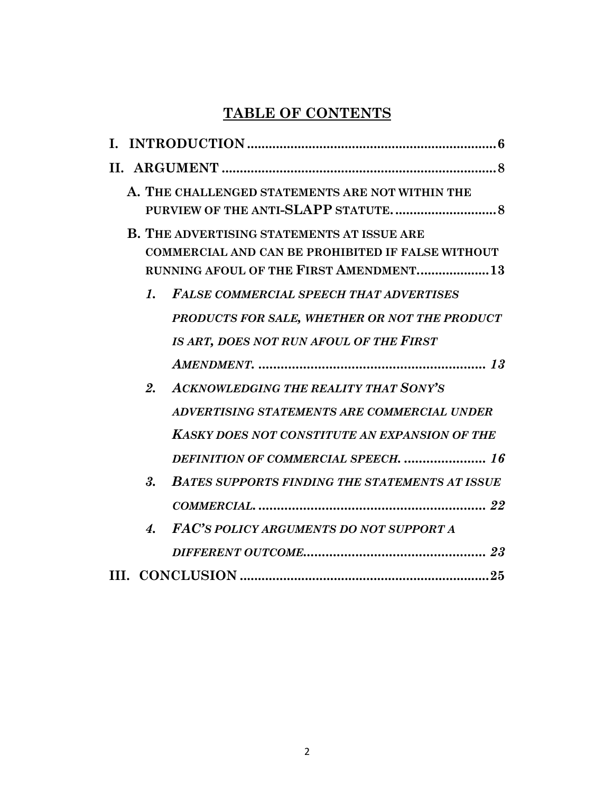# **TABLE OF CONTENTS**

|    | A. THE CHALLENGED STATEMENTS ARE NOT WITHIN THE                                                                                                                 |
|----|-----------------------------------------------------------------------------------------------------------------------------------------------------------------|
|    | <b>B. THE ADVERTISING STATEMENTS AT ISSUE ARE</b><br><b>COMMERCIAL AND CAN BE PROHIBITED IF FALSE WITHOUT</b><br><b>RUNNING AFOUL OF THE FIRST AMENDMENT 13</b> |
| 1. | <b>FALSE COMMERCIAL SPEECH THAT ADVERTISES</b>                                                                                                                  |
|    | PRODUCTS FOR SALE, WHETHER OR NOT THE PRODUCT                                                                                                                   |
|    | IS ART, DOES NOT RUN AFOUL OF THE FIRST                                                                                                                         |
|    |                                                                                                                                                                 |
| 2. | <b>ACKNOWLEDGING THE REALITY THAT SONY'S</b>                                                                                                                    |
|    | ADVERTISING STATEMENTS ARE COMMERCIAL UNDER                                                                                                                     |
|    | <b>KASKY DOES NOT CONSTITUTE AN EXPANSION OF THE</b>                                                                                                            |
|    | <b>DEFINITION OF COMMERCIAL SPEECH.</b> 16                                                                                                                      |
| 3. | <b>BATES SUPPORTS FINDING THE STATEMENTS AT ISSUE</b>                                                                                                           |
|    |                                                                                                                                                                 |
| 4. | FAC'S POLICY ARGUMENTS DO NOT SUPPORT A                                                                                                                         |
|    |                                                                                                                                                                 |
|    |                                                                                                                                                                 |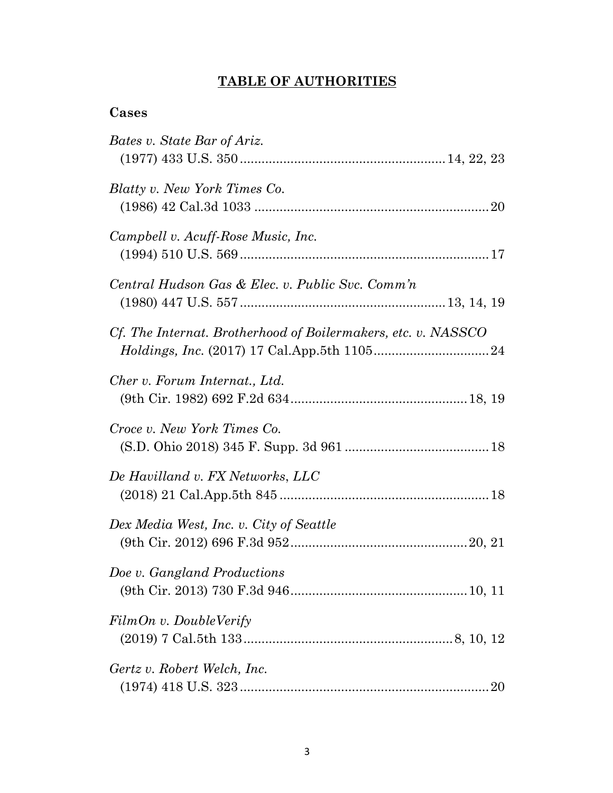# **TABLE OF AUTHORITIES**

# **Cases**

| Bates v. State Bar of Ariz.                                   |
|---------------------------------------------------------------|
|                                                               |
| Blatty v. New York Times Co.                                  |
|                                                               |
| Campbell v. Acuff-Rose Music, Inc.                            |
|                                                               |
| Central Hudson Gas & Elec. v. Public Svc. Comm'n              |
|                                                               |
| Cf. The Internat. Brotherhood of Boilermakers, etc. v. NASSCO |
|                                                               |
| Cher v. Forum Internat., Ltd.                                 |
|                                                               |
| Croce v. New York Times Co.                                   |
|                                                               |
| De Havilland v. FX Networks, LLC                              |
|                                                               |
| Dex Media West, Inc. v. City of Seattle                       |
|                                                               |
| Doe v. Gangland Productions                                   |
|                                                               |
| FilmOn v. DoubleVerify                                        |
|                                                               |
| Gertz v. Robert Welch, Inc.                                   |
|                                                               |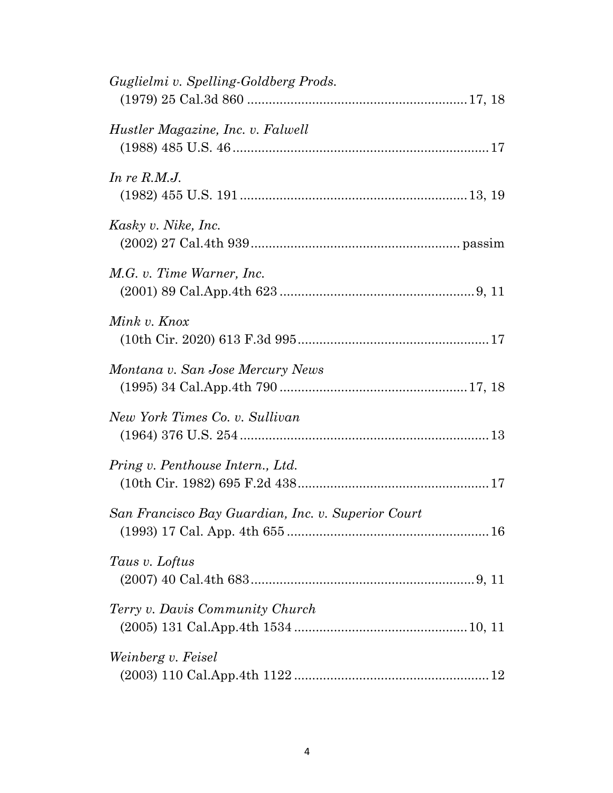| Guglielmi v. Spelling-Goldberg Prods.              |  |
|----------------------------------------------------|--|
| Hustler Magazine, Inc. v. Falwell                  |  |
| In re $R.M.J.$                                     |  |
| Kasky v. Nike, Inc.                                |  |
| M.G. v. Time Warner, Inc.                          |  |
| Mink v. Knox                                       |  |
| Montana v. San Jose Mercury News                   |  |
| New York Times Co. v. Sullivan                     |  |
| Pring v. Penthouse Intern., Ltd.                   |  |
| San Francisco Bay Guardian, Inc. v. Superior Court |  |
| Taus v. Loftus                                     |  |
| Terry v. Davis Community Church                    |  |
| Weinberg v. Feisel                                 |  |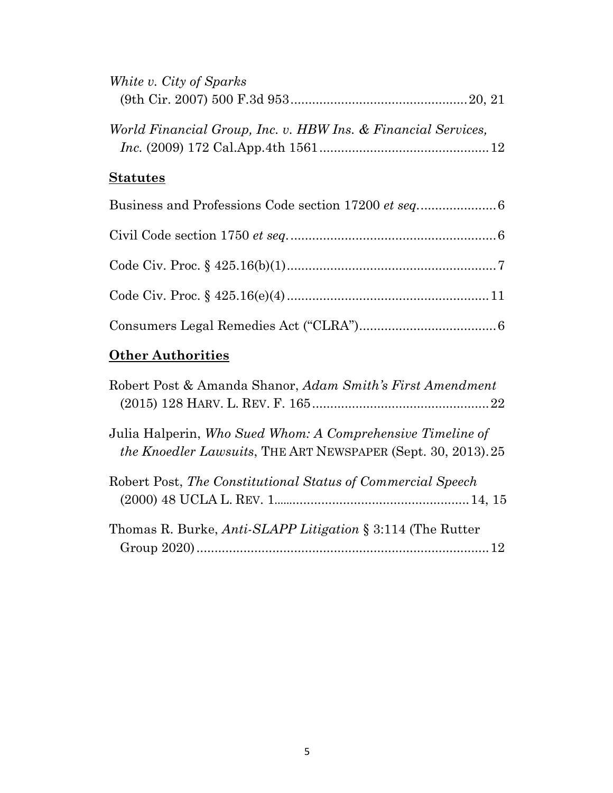| White v. City of Sparks                                       |
|---------------------------------------------------------------|
|                                                               |
| World Financial Group, Inc. v. HBW Ins. & Financial Services, |
| <b>Statutes</b>                                               |
|                                                               |
|                                                               |
|                                                               |
|                                                               |
|                                                               |
| <b>Other Authorities</b>                                      |

| Robert Post & Amanda Shanor, Adam Smith's First Amendment                                                                           |
|-------------------------------------------------------------------------------------------------------------------------------------|
| Julia Halperin, Who Sued Whom: A Comprehensive Timeline of<br><i>the Knoedler Lawsuits</i> , THE ART NEWSPAPER (Sept. 30, 2013). 25 |
| Robert Post, The Constitutional Status of Commercial Speech                                                                         |
| Thomas R. Burke, <i>Anti-SLAPP Litigation</i> § 3:114 (The Rutter                                                                   |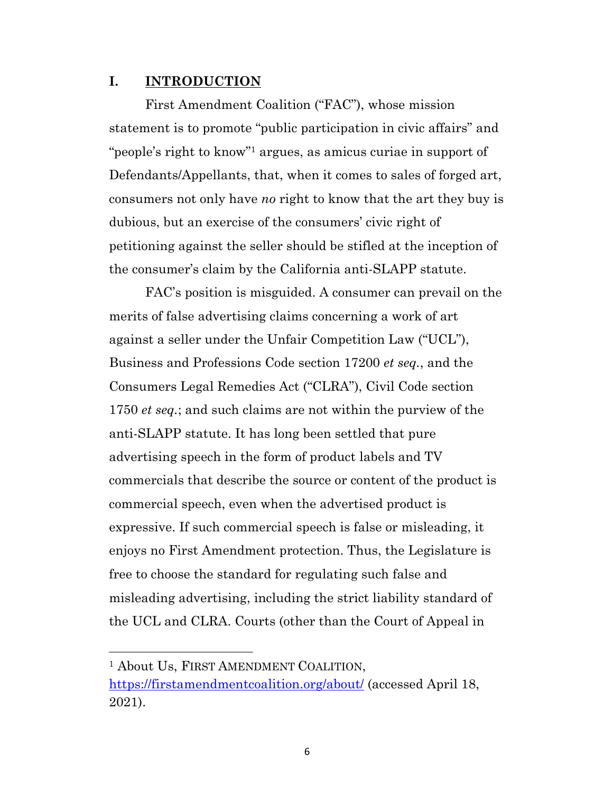#### **I. INTRODUCTION**

First Amendment Coalition ("FAC"), whose mission statement is to promote "public participation in civic affairs" and "people's right to know"1 argues, as amicus curiae in support of Defendants/Appellants, that, when it comes to sales of forged art, consumers not only have *no* right to know that the art they buy is dubious, but an exercise of the consumers' civic right of petitioning against the seller should be stifled at the inception of the consumer's claim by the California anti-SLAPP statute.

FAC's position is misguided. A consumer can prevail on the merits of false advertising claims concerning a work of art against a seller under the Unfair Competition Law ("UCL"), Business and Professions Code section 17200 *et seq.*, and the Consumers Legal Remedies Act ("CLRA"), Civil Code section 1750 *et seq.*; and such claims are not within the purview of the anti-SLAPP statute. It has long been settled that pure advertising speech in the form of product labels and TV commercials that describe the source or content of the product is commercial speech, even when the advertised product is expressive. If such commercial speech is false or misleading, it enjoys no First Amendment protection. Thus, the Legislature is free to choose the standard for regulating such false and misleading advertising, including the strict liability standard of the UCL and CLRA. Courts (other than the Court of Appeal in

<sup>1</sup> About Us, FIRST AMENDMENT COALITION,

https://firstamendmentcoalition.org/about/ (accessed April 18, 2021).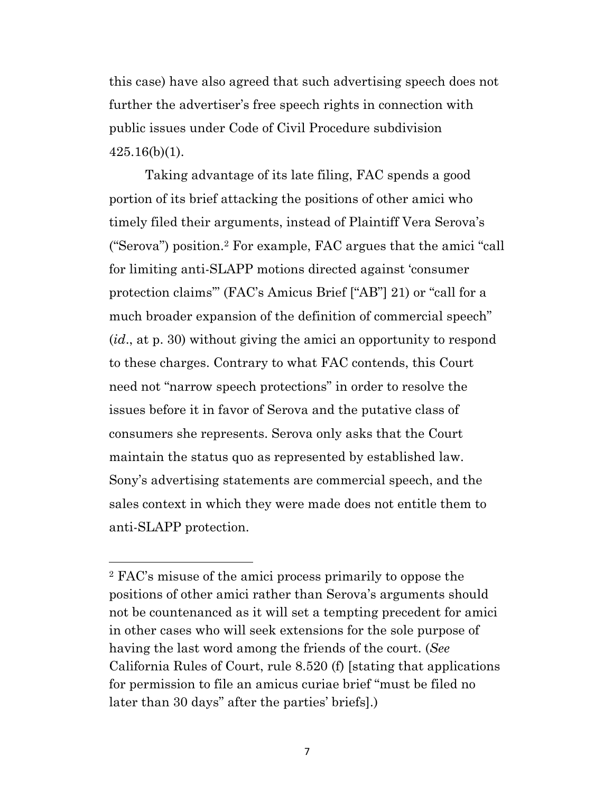this case) have also agreed that such advertising speech does not further the advertiser's free speech rights in connection with public issues under Code of Civil Procedure subdivision  $425.16(b)(1)$ .

Taking advantage of its late filing, FAC spends a good portion of its brief attacking the positions of other amici who timely filed their arguments, instead of Plaintiff Vera Serova's ("Serova") position.2 For example, FAC argues that the amici "call for limiting anti-SLAPP motions directed against 'consumer protection claims'" (FAC's Amicus Brief ["AB"] 21) or "call for a much broader expansion of the definition of commercial speech" (*id*., at p. 30) without giving the amici an opportunity to respond to these charges. Contrary to what FAC contends, this Court need not "narrow speech protections" in order to resolve the issues before it in favor of Serova and the putative class of consumers she represents. Serova only asks that the Court maintain the status quo as represented by established law. Sony's advertising statements are commercial speech, and the sales context in which they were made does not entitle them to anti-SLAPP protection.

<sup>2</sup> FAC's misuse of the amici process primarily to oppose the positions of other amici rather than Serova's arguments should not be countenanced as it will set a tempting precedent for amici in other cases who will seek extensions for the sole purpose of having the last word among the friends of the court. (*See* California Rules of Court, rule 8.520 (f) [stating that applications for permission to file an amicus curiae brief "must be filed no later than 30 days" after the parties' briefs].)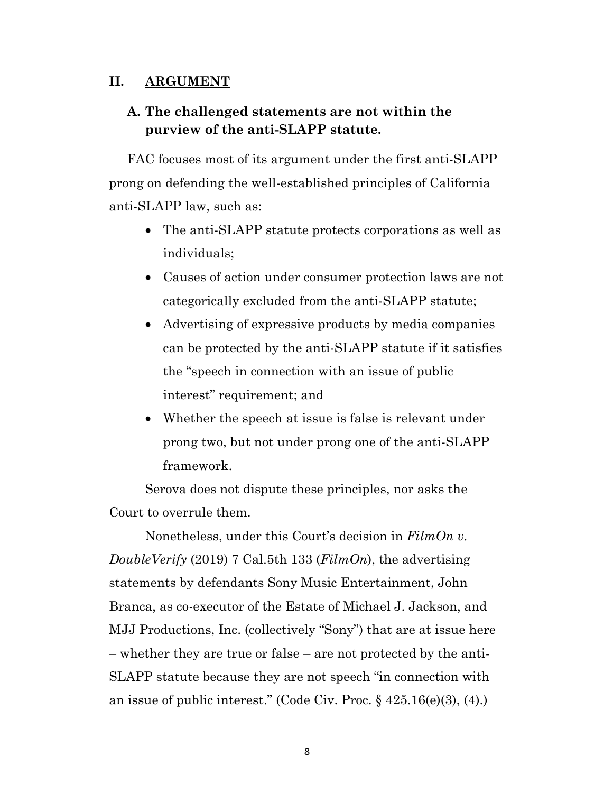## **II. ARGUMENT**

# **A. The challenged statements are not within the purview of the anti-SLAPP statute.**

FAC focuses most of its argument under the first anti-SLAPP prong on defending the well-established principles of California anti-SLAPP law, such as:

- The anti-SLAPP statute protects corporations as well as individuals;
- Causes of action under consumer protection laws are not categorically excluded from the anti-SLAPP statute;
- Advertising of expressive products by media companies can be protected by the anti-SLAPP statute if it satisfies the "speech in connection with an issue of public interest" requirement; and
- Whether the speech at issue is false is relevant under prong two, but not under prong one of the anti-SLAPP framework.

Serova does not dispute these principles, nor asks the Court to overrule them.

Nonetheless, under this Court's decision in *FilmOn v. DoubleVerify* (2019) 7 Cal.5th 133 (*FilmOn*), the advertising statements by defendants Sony Music Entertainment, John Branca, as co-executor of the Estate of Michael J. Jackson, and MJJ Productions, Inc. (collectively "Sony") that are at issue here – whether they are true or false – are not protected by the anti-SLAPP statute because they are not speech "in connection with an issue of public interest." (Code Civ. Proc. § 425.16(e)(3), (4).)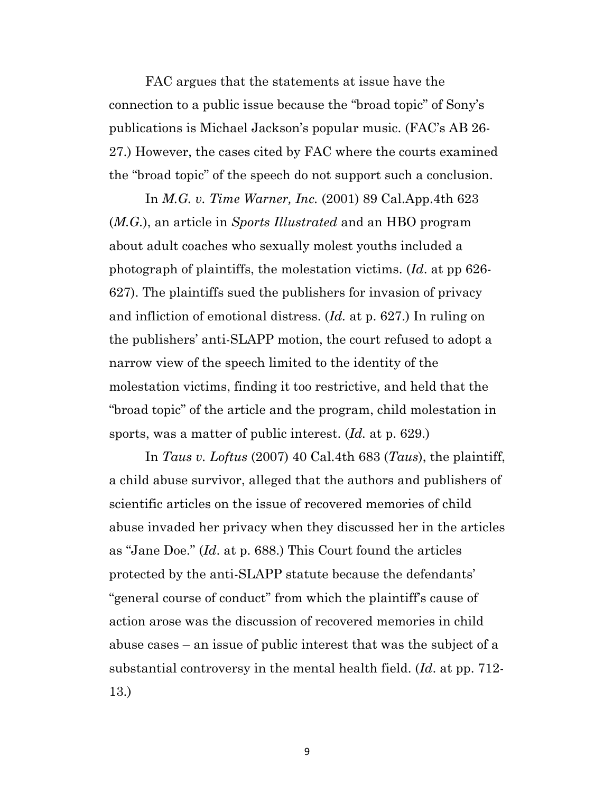FAC argues that the statements at issue have the connection to a public issue because the "broad topic" of Sony's publications is Michael Jackson's popular music. (FAC's AB 26- 27.) However, the cases cited by FAC where the courts examined the "broad topic" of the speech do not support such a conclusion.

In *M.G. v. Time Warner, Inc.* (2001) 89 Cal.App.4th 623 (*M.G.*), an article in *Sports Illustrated* and an HBO program about adult coaches who sexually molest youths included a photograph of plaintiffs, the molestation victims. (*Id*. at pp 626- 627). The plaintiffs sued the publishers for invasion of privacy and infliction of emotional distress. (*Id.* at p. 627.) In ruling on the publishers' anti-SLAPP motion, the court refused to adopt a narrow view of the speech limited to the identity of the molestation victims, finding it too restrictive, and held that the "broad topic" of the article and the program, child molestation in sports, was a matter of public interest. (*Id.* at p. 629.)

In *Taus v. Loftus* (2007) 40 Cal.4th 683 (*Taus*), the plaintiff, a child abuse survivor, alleged that the authors and publishers of scientific articles on the issue of recovered memories of child abuse invaded her privacy when they discussed her in the articles as "Jane Doe." (*Id*. at p. 688.) This Court found the articles protected by the anti-SLAPP statute because the defendants' "general course of conduct" from which the plaintiff's cause of action arose was the discussion of recovered memories in child abuse cases – an issue of public interest that was the subject of a substantial controversy in the mental health field. (*Id*. at pp. 712- 13.)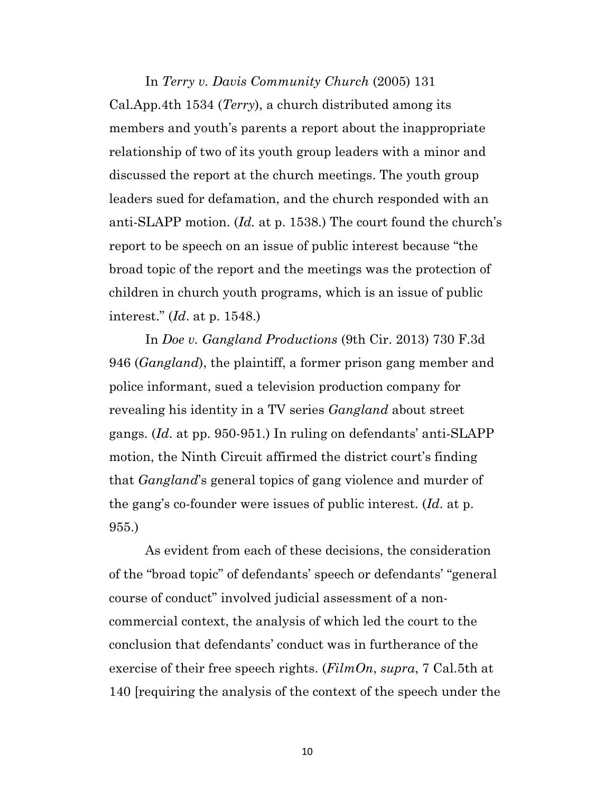# In *Terry v. Davis Community Church* (2005) 131 Cal.App.4th 1534 (*Terry*), a church distributed among its members and youth's parents a report about the inappropriate relationship of two of its youth group leaders with a minor and discussed the report at the church meetings. The youth group leaders sued for defamation, and the church responded with an anti-SLAPP motion. (*Id.* at p. 1538.) The court found the church's report to be speech on an issue of public interest because "the broad topic of the report and the meetings was the protection of children in church youth programs, which is an issue of public interest." (*Id*. at p. 1548.)

In *Doe v. Gangland Productions* (9th Cir. 2013) 730 F.3d 946 (*Gangland*), the plaintiff, a former prison gang member and police informant, sued a television production company for revealing his identity in a TV series *Gangland* about street gangs. (*Id*. at pp. 950-951.) In ruling on defendants' anti-SLAPP motion, the Ninth Circuit affirmed the district court's finding that *Gangland*'s general topics of gang violence and murder of the gang's co-founder were issues of public interest. (*Id*. at p. 955.)

As evident from each of these decisions, the consideration of the "broad topic" of defendants' speech or defendants' "general course of conduct" involved judicial assessment of a noncommercial context, the analysis of which led the court to the conclusion that defendants' conduct was in furtherance of the exercise of their free speech rights. (*FilmOn*, *supra*, 7 Cal.5th at 140 [requiring the analysis of the context of the speech under the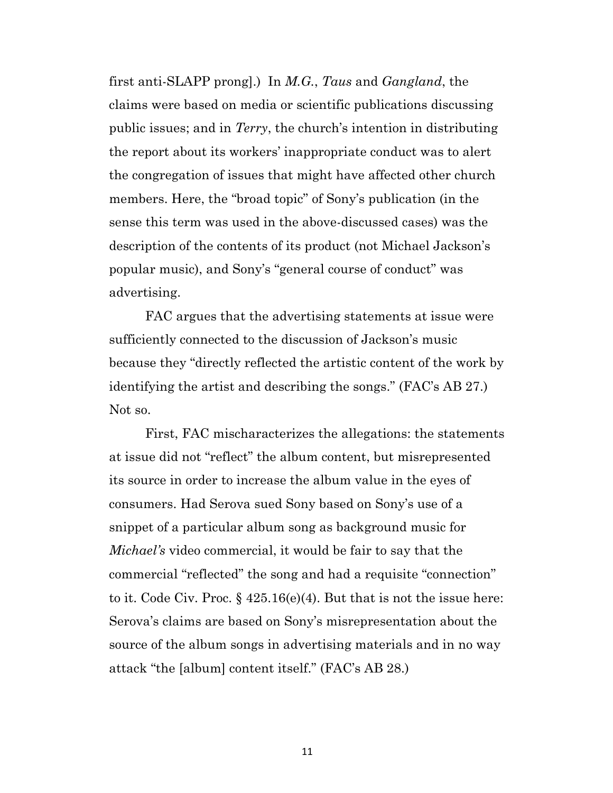first anti-SLAPP prong].) In *M.G.*, *Taus* and *Gangland*, the claims were based on media or scientific publications discussing public issues; and in *Terry*, the church's intention in distributing the report about its workers' inappropriate conduct was to alert the congregation of issues that might have affected other church members. Here, the "broad topic" of Sony's publication (in the sense this term was used in the above-discussed cases) was the description of the contents of its product (not Michael Jackson's popular music), and Sony's "general course of conduct" was advertising.

FAC argues that the advertising statements at issue were sufficiently connected to the discussion of Jackson's music because they "directly reflected the artistic content of the work by identifying the artist and describing the songs." (FAC's AB 27.) Not so.

First, FAC mischaracterizes the allegations: the statements at issue did not "reflect" the album content, but misrepresented its source in order to increase the album value in the eyes of consumers. Had Serova sued Sony based on Sony's use of a snippet of a particular album song as background music for *Michael's* video commercial, it would be fair to say that the commercial "reflected" the song and had a requisite "connection" to it. Code Civ. Proc. § 425.16(e)(4). But that is not the issue here: Serova's claims are based on Sony's misrepresentation about the source of the album songs in advertising materials and in no way attack "the [album] content itself." (FAC's AB 28.)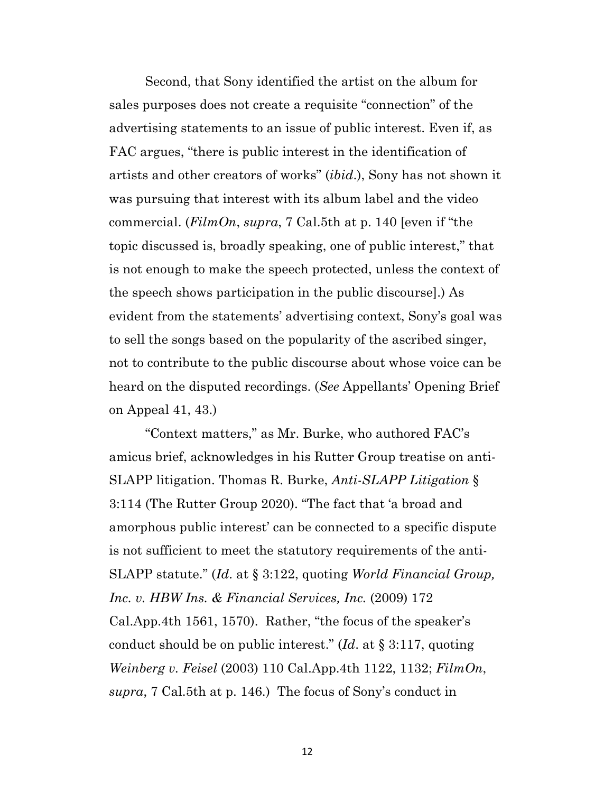Second, that Sony identified the artist on the album for sales purposes does not create a requisite "connection" of the advertising statements to an issue of public interest. Even if, as FAC argues, "there is public interest in the identification of artists and other creators of works" (*ibid*.), Sony has not shown it was pursuing that interest with its album label and the video commercial. (*FilmOn*, *supra*, 7 Cal.5th at p. 140 [even if "the topic discussed is, broadly speaking, one of public interest," that is not enough to make the speech protected, unless the context of the speech shows participation in the public discourse].) As evident from the statements' advertising context, Sony's goal was to sell the songs based on the popularity of the ascribed singer, not to contribute to the public discourse about whose voice can be heard on the disputed recordings. (*See* Appellants' Opening Brief on Appeal 41, 43.)

"Context matters," as Mr. Burke, who authored FAC's amicus brief, acknowledges in his Rutter Group treatise on anti-SLAPP litigation. Thomas R. Burke, *Anti-SLAPP Litigation* § 3:114 (The Rutter Group 2020). "The fact that 'a broad and amorphous public interest' can be connected to a specific dispute is not sufficient to meet the statutory requirements of the anti-SLAPP statute." (*Id*. at § 3:122, quoting *World Financial Group, Inc. v. HBW Ins. & Financial Services, Inc.* (2009) 172 Cal.App.4th 1561, 1570). Rather, "the focus of the speaker's conduct should be on public interest." (*Id*. at § 3:117, quoting *Weinberg v. Feisel* (2003) 110 Cal.App.4th 1122, 1132; *FilmOn*, *supra*, 7 Cal.5th at p. 146.) The focus of Sony's conduct in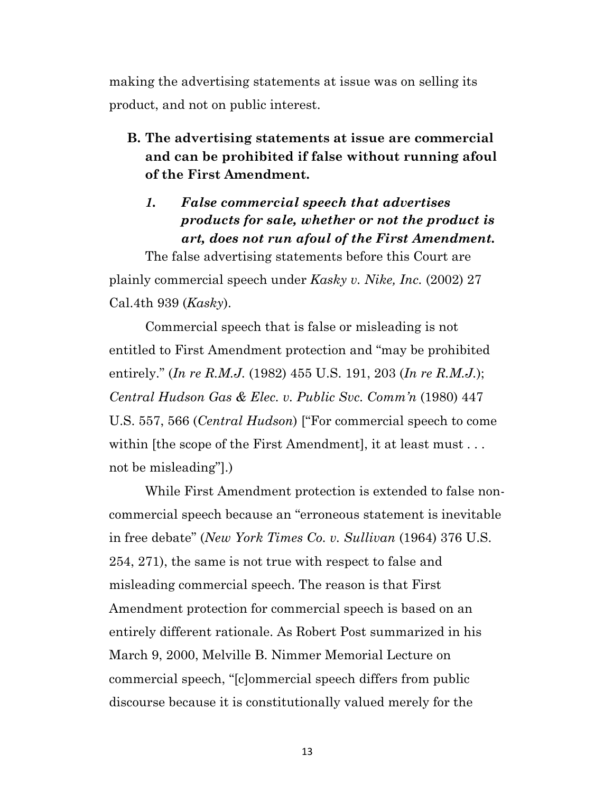making the advertising statements at issue was on selling its product, and not on public interest.

**B. The advertising statements at issue are commercial and can be prohibited if false without running afoul of the First Amendment.**

## *1. False commercial speech that advertises products for sale, whether or not the product is art, does not run afoul of the First Amendment.*

The false advertising statements before this Court are plainly commercial speech under *Kasky v. Nike, Inc.* (2002) 27 Cal.4th 939 (*Kasky*).

Commercial speech that is false or misleading is not entitled to First Amendment protection and "may be prohibited entirely." (*In re R.M.J.* (1982) 455 U.S. 191, 203 (*In re R.M.J.*); *Central Hudson Gas & Elec. v. Public Svc. Comm'n* (1980) 447 U.S. 557, 566 (*Central Hudson*) ["For commercial speech to come within [the scope of the First Amendment], it at least must... not be misleading"].)

While First Amendment protection is extended to false noncommercial speech because an "erroneous statement is inevitable in free debate" (*New York Times Co. v. Sullivan* (1964) 376 U.S. 254, 271), the same is not true with respect to false and misleading commercial speech. The reason is that First Amendment protection for commercial speech is based on an entirely different rationale. As Robert Post summarized in his March 9, 2000, Melville B. Nimmer Memorial Lecture on commercial speech, "[c]ommercial speech differs from public discourse because it is constitutionally valued merely for the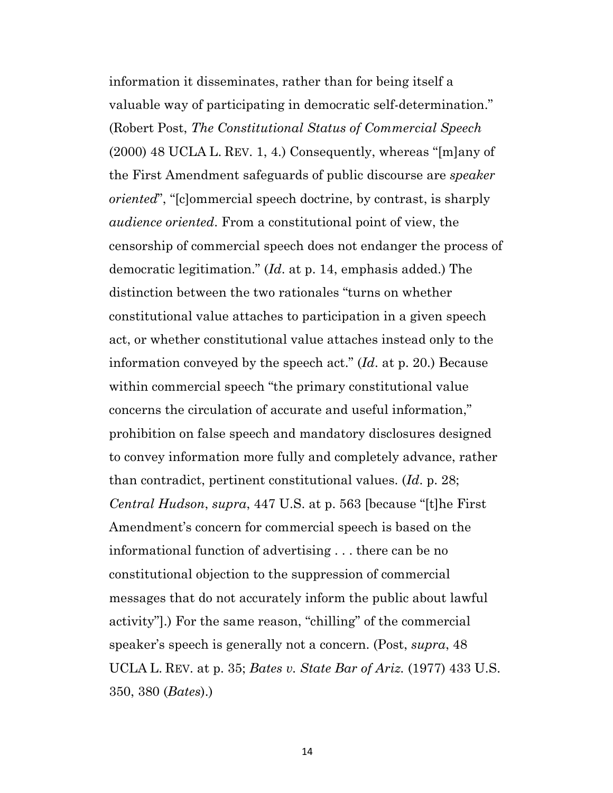information it disseminates, rather than for being itself a valuable way of participating in democratic self-determination." (Robert Post, *The Constitutional Status of Commercial Speech*  (2000) 48 UCLA L. REV. 1, 4.) Consequently, whereas "[m]any of the First Amendment safeguards of public discourse are *speaker oriented*", "[c]ommercial speech doctrine, by contrast, is sharply *audience oriented*. From a constitutional point of view, the censorship of commercial speech does not endanger the process of democratic legitimation." (*Id*. at p. 14, emphasis added.) The distinction between the two rationales "turns on whether constitutional value attaches to participation in a given speech act, or whether constitutional value attaches instead only to the information conveyed by the speech act." (*Id*. at p. 20.) Because within commercial speech "the primary constitutional value concerns the circulation of accurate and useful information," prohibition on false speech and mandatory disclosures designed to convey information more fully and completely advance, rather than contradict, pertinent constitutional values. (*Id*. p. 28; *Central Hudson*, *supra*, 447 U.S. at p. 563 [because "[t]he First Amendment's concern for commercial speech is based on the informational function of advertising . . . there can be no constitutional objection to the suppression of commercial messages that do not accurately inform the public about lawful activity"].) For the same reason, "chilling" of the commercial speaker's speech is generally not a concern. (Post, *supra*, 48 UCLA L. REV. at p. 35; *Bates v. State Bar of Ariz.* (1977) 433 U.S. 350, 380 (*Bates*).)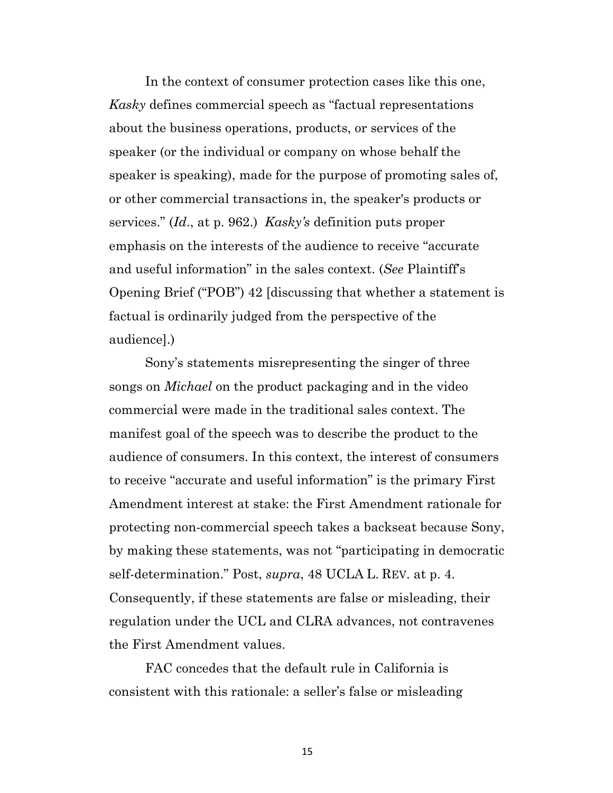In the context of consumer protection cases like this one, *Kasky* defines commercial speech as "factual representations about the business operations, products, or services of the speaker (or the individual or company on whose behalf the speaker is speaking), made for the purpose of promoting sales of, or other commercial transactions in, the speaker's products or services." (*Id*., at p. 962.) *Kasky's* definition puts proper emphasis on the interests of the audience to receive "accurate and useful information" in the sales context. (*See* Plaintiff's Opening Brief ("POB") 42 [discussing that whether a statement is factual is ordinarily judged from the perspective of the audience].)

Sony's statements misrepresenting the singer of three songs on *Michael* on the product packaging and in the video commercial were made in the traditional sales context. The manifest goal of the speech was to describe the product to the audience of consumers. In this context, the interest of consumers to receive "accurate and useful information" is the primary First Amendment interest at stake: the First Amendment rationale for protecting non-commercial speech takes a backseat because Sony, by making these statements, was not "participating in democratic self-determination." Post, *supra*, 48 UCLA L. REV. at p. 4. Consequently, if these statements are false or misleading, their regulation under the UCL and CLRA advances, not contravenes the First Amendment values.

FAC concedes that the default rule in California is consistent with this rationale: a seller's false or misleading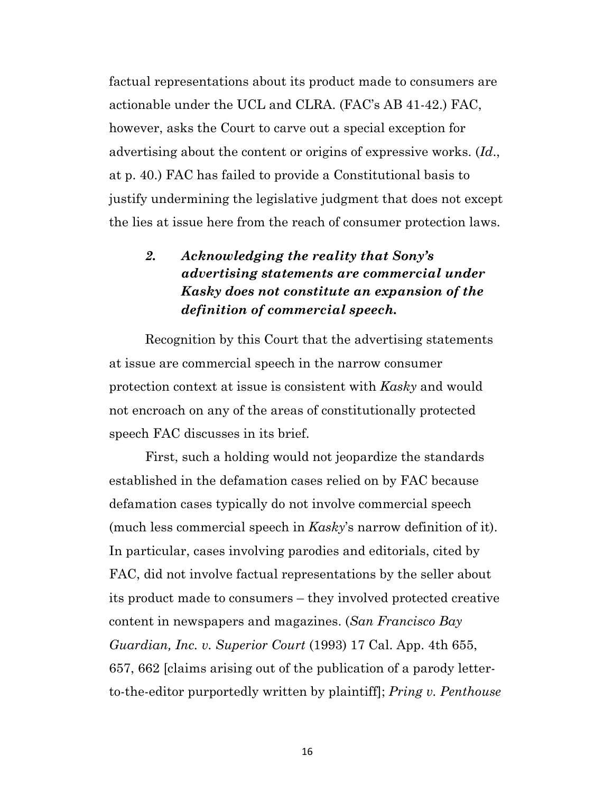factual representations about its product made to consumers are actionable under the UCL and CLRA. (FAC's AB 41-42.) FAC, however, asks the Court to carve out a special exception for advertising about the content or origins of expressive works. (*Id*., at p. 40.) FAC has failed to provide a Constitutional basis to justify undermining the legislative judgment that does not except the lies at issue here from the reach of consumer protection laws.

# *2. Acknowledging the reality that Sony's advertising statements are commercial under Kasky does not constitute an expansion of the definition of commercial speech.*

Recognition by this Court that the advertising statements at issue are commercial speech in the narrow consumer protection context at issue is consistent with *Kasky* and would not encroach on any of the areas of constitutionally protected speech FAC discusses in its brief.

First, such a holding would not jeopardize the standards established in the defamation cases relied on by FAC because defamation cases typically do not involve commercial speech (much less commercial speech in *Kasky*'s narrow definition of it). In particular, cases involving parodies and editorials, cited by FAC, did not involve factual representations by the seller about its product made to consumers – they involved protected creative content in newspapers and magazines. (*San Francisco Bay Guardian, Inc. v. Superior Court* (1993) 17 Cal. App. 4th 655, 657, 662 [claims arising out of the publication of a parody letterto-the-editor purportedly written by plaintiff]; *Pring v. Penthouse*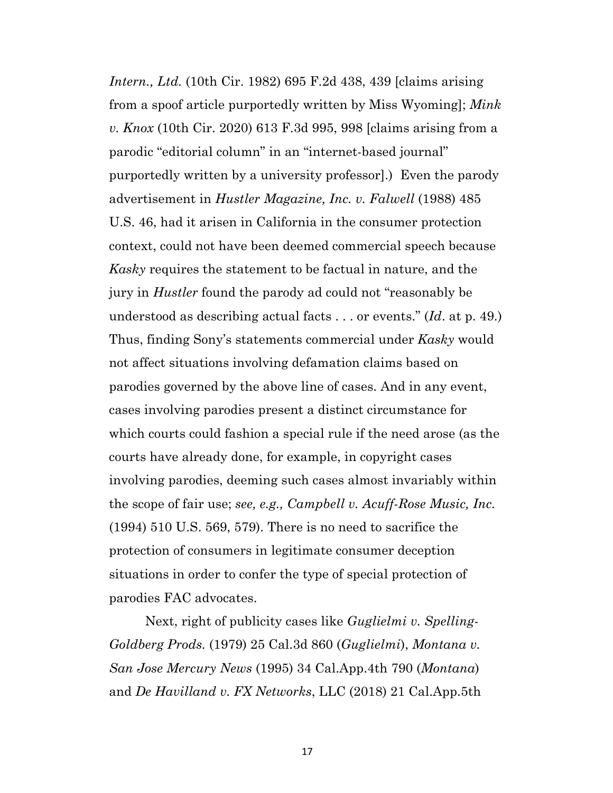*Intern., Ltd.* (10th Cir. 1982) 695 F.2d 438, 439 [claims arising from a spoof article purportedly written by Miss Wyoming]; *Mink v. Knox* (10th Cir. 2020) 613 F.3d 995, 998 [claims arising from a parodic "editorial column" in an "internet-based journal" purportedly written by a university professor].) Even the parody advertisement in *Hustler Magazine, Inc. v. Falwell* (1988) 485 U.S. 46, had it arisen in California in the consumer protection context, could not have been deemed commercial speech because *Kasky* requires the statement to be factual in nature, and the jury in *Hustler* found the parody ad could not "reasonably be understood as describing actual facts . . . or events." (*Id*. at p. 49.) Thus, finding Sony's statements commercial under *Kasky* would not affect situations involving defamation claims based on parodies governed by the above line of cases. And in any event, cases involving parodies present a distinct circumstance for which courts could fashion a special rule if the need arose (as the courts have already done, for example, in copyright cases involving parodies, deeming such cases almost invariably within the scope of fair use; *see, e.g., Campbell v. Acuff-Rose Music, Inc.* (1994) 510 U.S. 569, 579). There is no need to sacrifice the protection of consumers in legitimate consumer deception situations in order to confer the type of special protection of parodies FAC advocates.

Next, right of publicity cases like *Guglielmi v. Spelling-Goldberg Prods.* (1979) 25 Cal.3d 860 (*Guglielmi*), *Montana v. San Jose Mercury News* (1995) 34 Cal.App.4th 790 (*Montana*) and *De Havilland v. FX Networks*, LLC (2018) 21 Cal.App.5th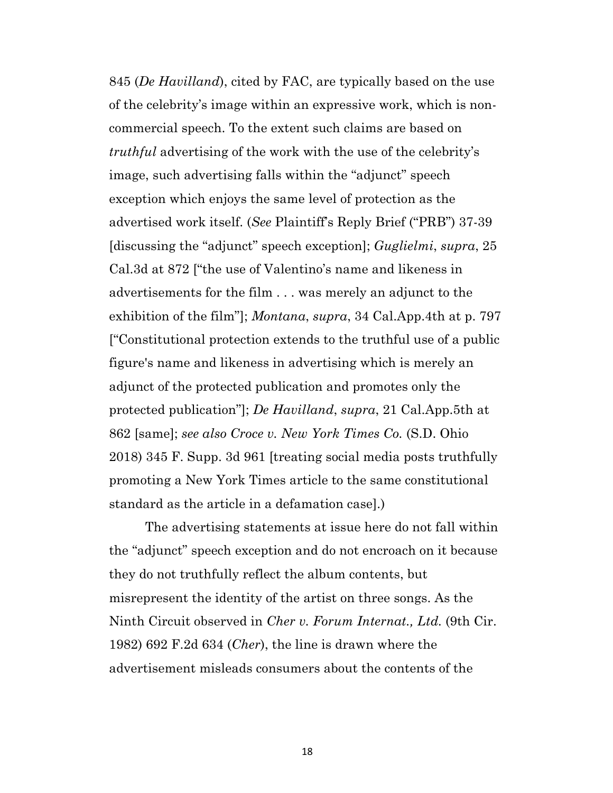845 (*De Havilland*), cited by FAC, are typically based on the use of the celebrity's image within an expressive work, which is noncommercial speech. To the extent such claims are based on *truthful* advertising of the work with the use of the celebrity's image, such advertising falls within the "adjunct" speech exception which enjoys the same level of protection as the advertised work itself. (*See* Plaintiff's Reply Brief ("PRB") 37-39 [discussing the "adjunct" speech exception]; *Guglielmi*, *supra*, 25 Cal.3d at 872 ["the use of Valentino's name and likeness in advertisements for the film . . . was merely an adjunct to the exhibition of the film"]; *Montana*, *supra*, 34 Cal.App.4th at p. 797 ["Constitutional protection extends to the truthful use of a public figure's name and likeness in advertising which is merely an adjunct of the protected publication and promotes only the protected publication"]; *De Havilland*, *supra*, 21 Cal.App.5th at 862 [same]; *see also Croce v. New York Times Co.* (S.D. Ohio 2018) 345 F. Supp. 3d 961 [treating social media posts truthfully promoting a New York Times article to the same constitutional standard as the article in a defamation case].)

The advertising statements at issue here do not fall within the "adjunct" speech exception and do not encroach on it because they do not truthfully reflect the album contents, but misrepresent the identity of the artist on three songs. As the Ninth Circuit observed in *Cher v. Forum Internat., Ltd.* (9th Cir. 1982) 692 F.2d 634 (*Cher*), the line is drawn where the advertisement misleads consumers about the contents of the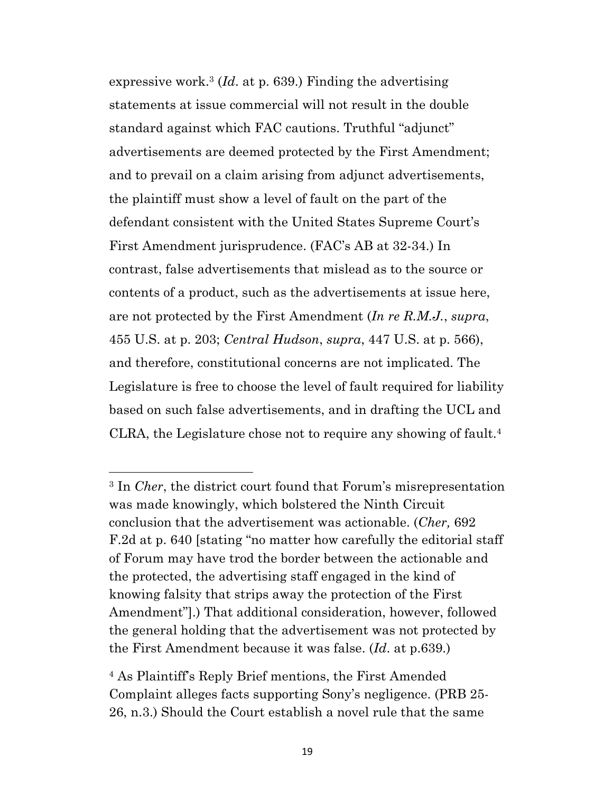expressive work.3 (*Id*. at p. 639.) Finding the advertising statements at issue commercial will not result in the double standard against which FAC cautions. Truthful "adjunct" advertisements are deemed protected by the First Amendment; and to prevail on a claim arising from adjunct advertisements, the plaintiff must show a level of fault on the part of the defendant consistent with the United States Supreme Court's First Amendment jurisprudence. (FAC's AB at 32-34.) In contrast, false advertisements that mislead as to the source or contents of a product, such as the advertisements at issue here, are not protected by the First Amendment (*In re R.M.J.*, *supra*, 455 U.S. at p. 203; *Central Hudson*, *supra*, 447 U.S. at p. 566), and therefore, constitutional concerns are not implicated. The Legislature is free to choose the level of fault required for liability based on such false advertisements, and in drafting the UCL and CLRA, the Legislature chose not to require any showing of fault.4

<sup>3</sup> In *Cher*, the district court found that Forum's misrepresentation was made knowingly, which bolstered the Ninth Circuit conclusion that the advertisement was actionable. (*Cher,* 692 F.2d at p. 640 [stating "no matter how carefully the editorial staff of Forum may have trod the border between the actionable and the protected, the advertising staff engaged in the kind of knowing falsity that strips away the protection of the First Amendment"].) That additional consideration, however, followed the general holding that the advertisement was not protected by the First Amendment because it was false. (*Id*. at p.639.)

<sup>4</sup> As Plaintiff's Reply Brief mentions, the First Amended Complaint alleges facts supporting Sony's negligence. (PRB 25- 26, n.3.) Should the Court establish a novel rule that the same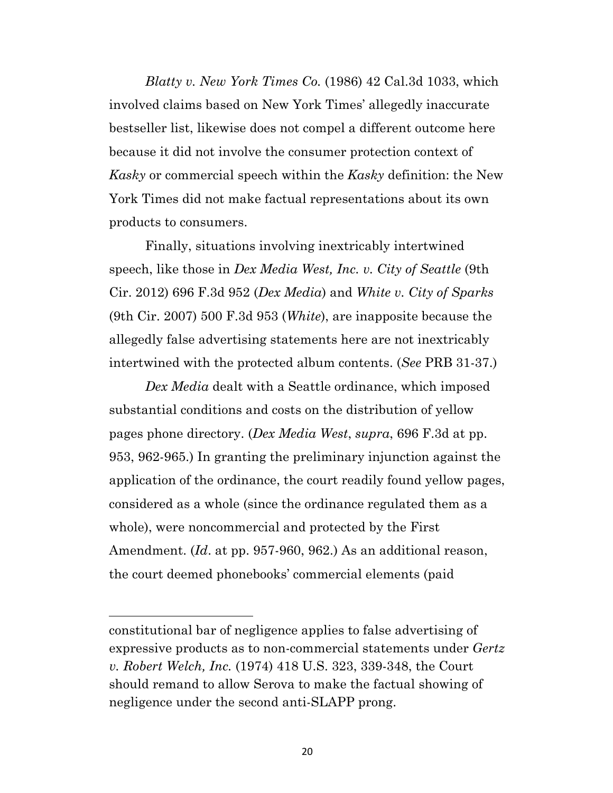*Blatty v. New York Times Co.* (1986) 42 Cal.3d 1033, which involved claims based on New York Times' allegedly inaccurate bestseller list, likewise does not compel a different outcome here because it did not involve the consumer protection context of *Kasky* or commercial speech within the *Kasky* definition: the New York Times did not make factual representations about its own products to consumers.

Finally, situations involving inextricably intertwined speech, like those in *Dex Media West, Inc. v. City of Seattle* (9th Cir. 2012) 696 F.3d 952 (*Dex Media*) and *White v. City of Sparks* (9th Cir. 2007) 500 F.3d 953 (*White*), are inapposite because the allegedly false advertising statements here are not inextricably intertwined with the protected album contents. (*See* PRB 31-37.)

*Dex Media* dealt with a Seattle ordinance, which imposed substantial conditions and costs on the distribution of yellow pages phone directory. (*Dex Media West*, *supra*, 696 F.3d at pp. 953, 962-965.) In granting the preliminary injunction against the application of the ordinance, the court readily found yellow pages, considered as a whole (since the ordinance regulated them as a whole), were noncommercial and protected by the First Amendment. (*Id*. at pp. 957-960, 962.) As an additional reason, the court deemed phonebooks' commercial elements (paid

constitutional bar of negligence applies to false advertising of expressive products as to non-commercial statements under *Gertz v. Robert Welch, Inc.* (1974) 418 U.S. 323, 339-348, the Court should remand to allow Serova to make the factual showing of negligence under the second anti-SLAPP prong.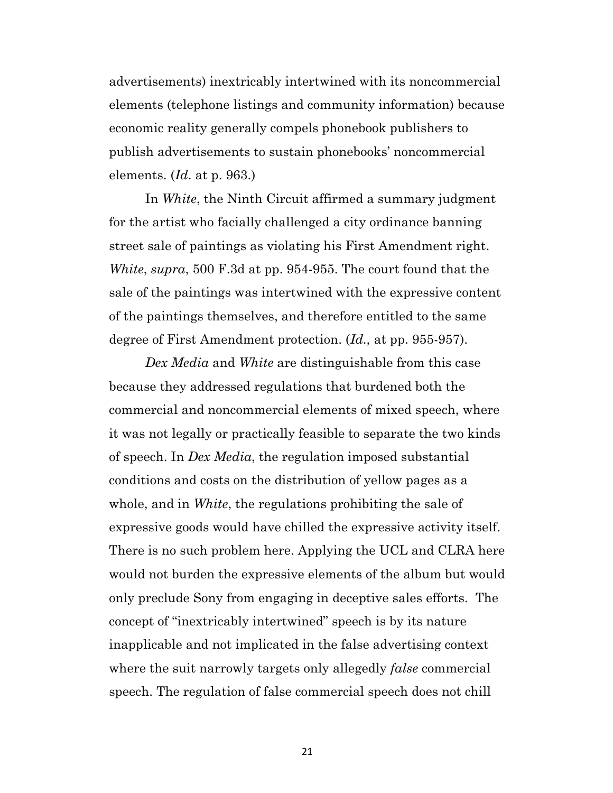advertisements) inextricably intertwined with its noncommercial elements (telephone listings and community information) because economic reality generally compels phonebook publishers to publish advertisements to sustain phonebooks' noncommercial elements. (*Id*. at p. 963.)

In *White*, the Ninth Circuit affirmed a summary judgment for the artist who facially challenged a city ordinance banning street sale of paintings as violating his First Amendment right. *White*, *supra*, 500 F.3d at pp. 954-955. The court found that the sale of the paintings was intertwined with the expressive content of the paintings themselves, and therefore entitled to the same degree of First Amendment protection. (*Id.,* at pp. 955-957).

*Dex Media* and *White* are distinguishable from this case because they addressed regulations that burdened both the commercial and noncommercial elements of mixed speech, where it was not legally or practically feasible to separate the two kinds of speech. In *Dex Media*, the regulation imposed substantial conditions and costs on the distribution of yellow pages as a whole, and in *White*, the regulations prohibiting the sale of expressive goods would have chilled the expressive activity itself. There is no such problem here. Applying the UCL and CLRA here would not burden the expressive elements of the album but would only preclude Sony from engaging in deceptive sales efforts. The concept of "inextricably intertwined" speech is by its nature inapplicable and not implicated in the false advertising context where the suit narrowly targets only allegedly *false* commercial speech. The regulation of false commercial speech does not chill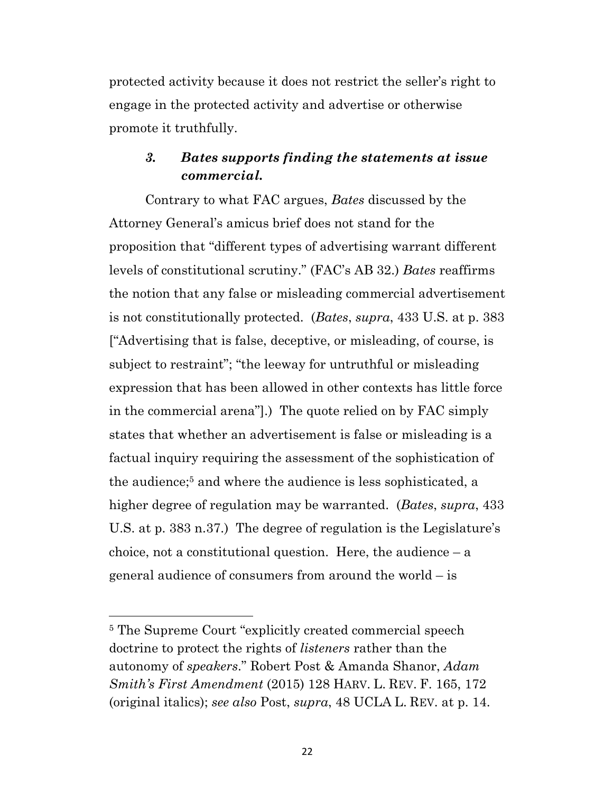protected activity because it does not restrict the seller's right to engage in the protected activity and advertise or otherwise promote it truthfully.

## *3. Bates supports finding the statements at issue commercial.*

Contrary to what FAC argues, *Bates* discussed by the Attorney General's amicus brief does not stand for the proposition that "different types of advertising warrant different levels of constitutional scrutiny." (FAC's AB 32.) *Bates* reaffirms the notion that any false or misleading commercial advertisement is not constitutionally protected. (*Bates*, *supra*, 433 U.S. at p. 383 ["Advertising that is false, deceptive, or misleading, of course, is subject to restraint"; "the leeway for untruthful or misleading expression that has been allowed in other contexts has little force in the commercial arena"].) The quote relied on by FAC simply states that whether an advertisement is false or misleading is a factual inquiry requiring the assessment of the sophistication of the audience;<sup>5</sup> and where the audience is less sophisticated, a higher degree of regulation may be warranted. (*Bates*, *supra*, 433 U.S. at p. 383 n.37.) The degree of regulation is the Legislature's choice, not a constitutional question. Here, the audience  $-$  a general audience of consumers from around the world – is

<sup>5</sup> The Supreme Court "explicitly created commercial speech doctrine to protect the rights of *listeners* rather than the autonomy of *speakers*." Robert Post & Amanda Shanor, *Adam Smith's First Amendment* (2015) 128 HARV. L. REV. F. 165, 172 (original italics); *see also* Post, *supra*, 48 UCLA L. REV. at p. 14.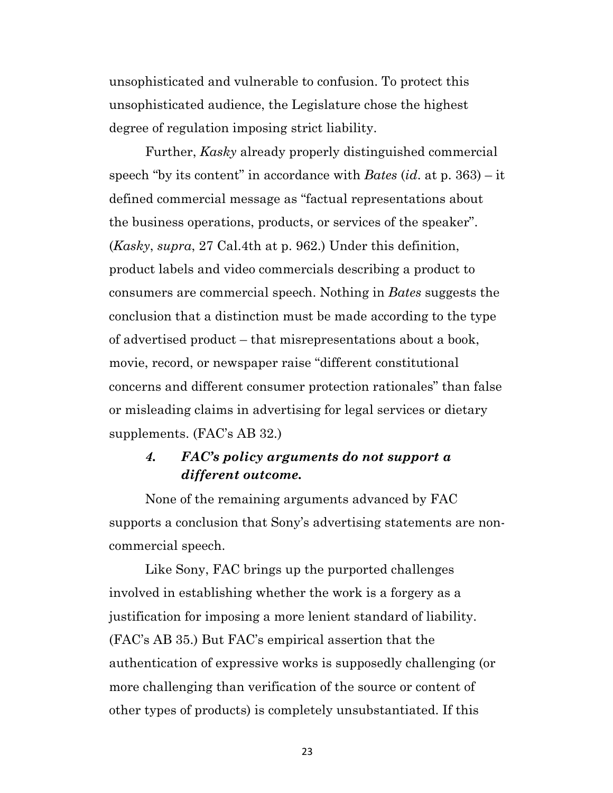unsophisticated and vulnerable to confusion. To protect this unsophisticated audience, the Legislature chose the highest degree of regulation imposing strict liability.

Further, *Kasky* already properly distinguished commercial speech "by its content" in accordance with *Bates* (*id*. at p. 363) – it defined commercial message as "factual representations about the business operations, products, or services of the speaker". (*Kasky*, *supra*, 27 Cal.4th at p. 962.) Under this definition, product labels and video commercials describing a product to consumers are commercial speech. Nothing in *Bates* suggests the conclusion that a distinction must be made according to the type of advertised product – that misrepresentations about a book, movie, record, or newspaper raise "different constitutional concerns and different consumer protection rationales" than false or misleading claims in advertising for legal services or dietary supplements. (FAC's AB 32.)

## *4. FAC's policy arguments do not support a different outcome.*

None of the remaining arguments advanced by FAC supports a conclusion that Sony's advertising statements are noncommercial speech.

Like Sony, FAC brings up the purported challenges involved in establishing whether the work is a forgery as a justification for imposing a more lenient standard of liability. (FAC's AB 35.) But FAC's empirical assertion that the authentication of expressive works is supposedly challenging (or more challenging than verification of the source or content of other types of products) is completely unsubstantiated. If this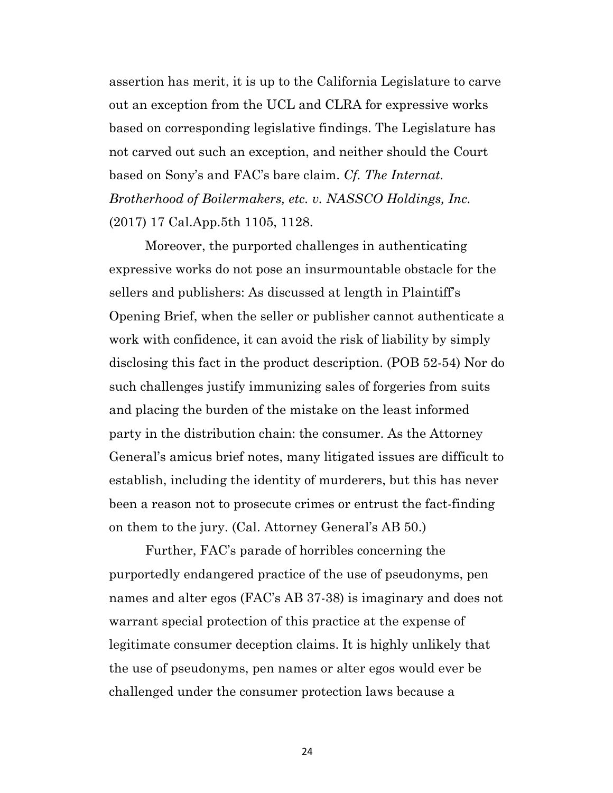assertion has merit, it is up to the California Legislature to carve out an exception from the UCL and CLRA for expressive works based on corresponding legislative findings. The Legislature has not carved out such an exception, and neither should the Court based on Sony's and FAC's bare claim. *Cf. The Internat. Brotherhood of Boilermakers, etc. v. NASSCO Holdings, Inc.*  (2017) 17 Cal.App.5th 1105, 1128.

Moreover, the purported challenges in authenticating expressive works do not pose an insurmountable obstacle for the sellers and publishers: As discussed at length in Plaintiff's Opening Brief, when the seller or publisher cannot authenticate a work with confidence, it can avoid the risk of liability by simply disclosing this fact in the product description. (POB 52-54) Nor do such challenges justify immunizing sales of forgeries from suits and placing the burden of the mistake on the least informed party in the distribution chain: the consumer. As the Attorney General's amicus brief notes, many litigated issues are difficult to establish, including the identity of murderers, but this has never been a reason not to prosecute crimes or entrust the fact-finding on them to the jury. (Cal. Attorney General's AB 50.)

Further, FAC's parade of horribles concerning the purportedly endangered practice of the use of pseudonyms, pen names and alter egos (FAC's AB 37-38) is imaginary and does not warrant special protection of this practice at the expense of legitimate consumer deception claims. It is highly unlikely that the use of pseudonyms, pen names or alter egos would ever be challenged under the consumer protection laws because a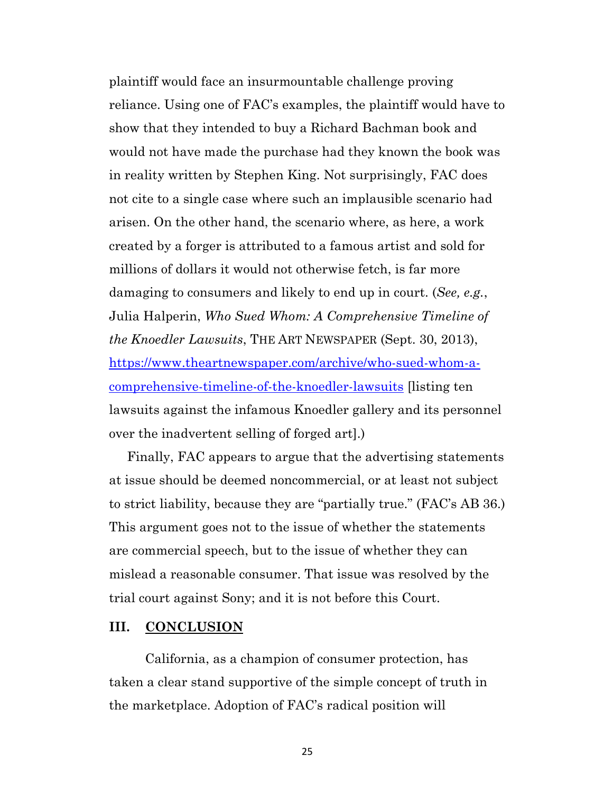plaintiff would face an insurmountable challenge proving reliance. Using one of FAC's examples, the plaintiff would have to show that they intended to buy a Richard Bachman book and would not have made the purchase had they known the book was in reality written by Stephen King. Not surprisingly, FAC does not cite to a single case where such an implausible scenario had arisen. On the other hand, the scenario where, as here, a work created by a forger is attributed to a famous artist and sold for millions of dollars it would not otherwise fetch, is far more damaging to consumers and likely to end up in court. (*See, e.g.*, Julia Halperin, *Who Sued Whom: A Comprehensive Timeline of the Knoedler Lawsuits*, THE ART NEWSPAPER (Sept. 30, 2013), https://www.theartnewspaper.com/archive/who-sued-whom-acomprehensive-timeline-of-the-knoedler-lawsuits [listing ten lawsuits against the infamous Knoedler gallery and its personnel over the inadvertent selling of forged art].)

Finally, FAC appears to argue that the advertising statements at issue should be deemed noncommercial, or at least not subject to strict liability, because they are "partially true." (FAC's AB 36.) This argument goes not to the issue of whether the statements are commercial speech, but to the issue of whether they can mislead a reasonable consumer. That issue was resolved by the trial court against Sony; and it is not before this Court.

#### **III. CONCLUSION**

California, as a champion of consumer protection, has taken a clear stand supportive of the simple concept of truth in the marketplace. Adoption of FAC's radical position will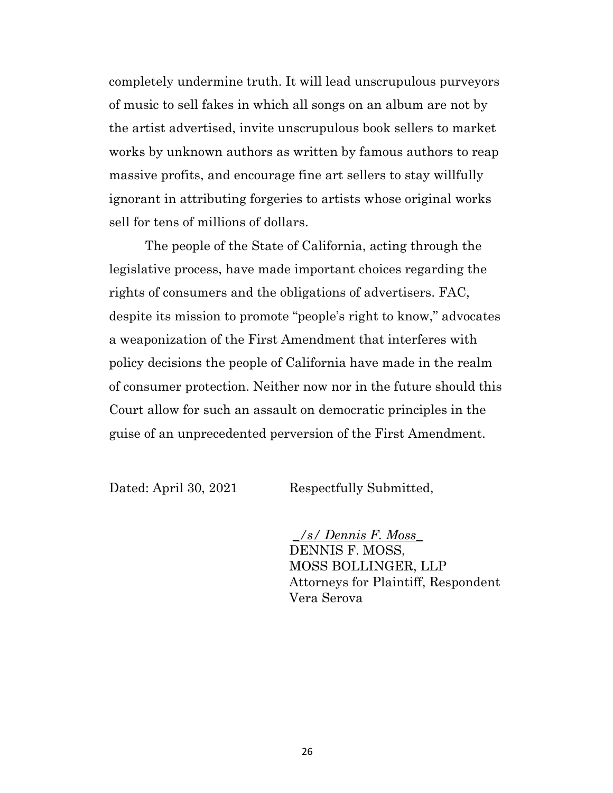completely undermine truth. It will lead unscrupulous purveyors of music to sell fakes in which all songs on an album are not by the artist advertised, invite unscrupulous book sellers to market works by unknown authors as written by famous authors to reap massive profits, and encourage fine art sellers to stay willfully ignorant in attributing forgeries to artists whose original works sell for tens of millions of dollars.

The people of the State of California, acting through the legislative process, have made important choices regarding the rights of consumers and the obligations of advertisers. FAC, despite its mission to promote "people's right to know," advocates a weaponization of the First Amendment that interferes with policy decisions the people of California have made in the realm of consumer protection. Neither now nor in the future should this Court allow for such an assault on democratic principles in the guise of an unprecedented perversion of the First Amendment.

Dated: April 30, 2021 Respectfully Submitted,

*\_/s/ Dennis F. Moss\_* DENNIS F. MOSS, MOSS BOLLINGER, LLP Attorneys for Plaintiff, Respondent Vera Serova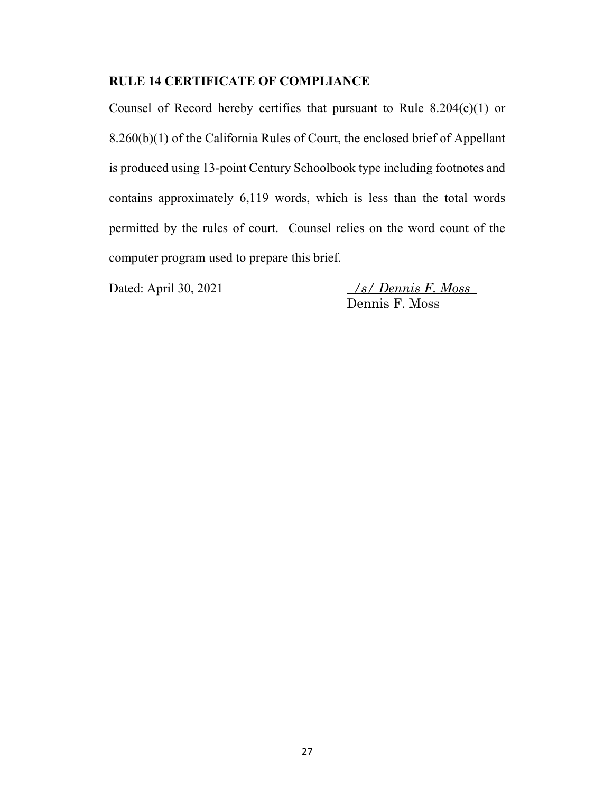#### **RULE 14 CERTIFICATE OF COMPLIANCE**

Counsel of Record hereby certifies that pursuant to Rule  $8.204(c)(1)$  or 8.260(b)(1) of the California Rules of Court, the enclosed brief of Appellant is produced using 13-point Century Schoolbook type including footnotes and contains approximately 6,119 words, which is less than the total words permitted by the rules of court. Counsel relies on the word count of the computer program used to prepare this brief.

Dated: April 30, 2021 *\_/s/ Dennis F. Moss\_* Dennis F. Moss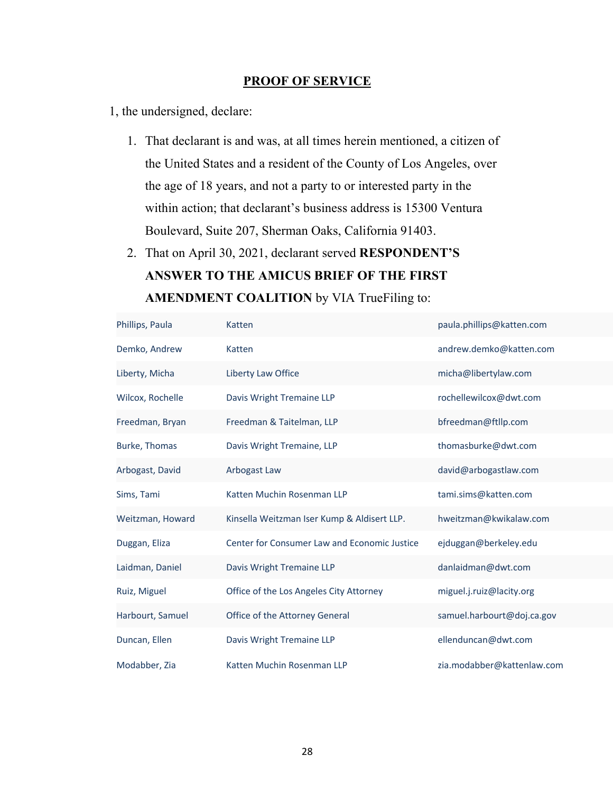#### **PROOF OF SERVICE**

1, the undersigned, declare:

- 1. That declarant is and was, at all times herein mentioned, a citizen of the United States and a resident of the County of Los Angeles, over the age of 18 years, and not a party to or interested party in the within action; that declarant's business address is 15300 Ventura Boulevard, Suite 207, Sherman Oaks, California 91403.
- 2. That on April 30, 2021, declarant served **RESPONDENT'S ANSWER TO THE AMICUS BRIEF OF THE FIRST AMENDMENT COALITION** by VIA TrueFiling to:

| Phillips, Paula  | Katten                                       | paula.phillips@katten.com  |
|------------------|----------------------------------------------|----------------------------|
| Demko, Andrew    | Katten                                       | andrew.demko@katten.com    |
| Liberty, Micha   | Liberty Law Office                           | micha@libertylaw.com       |
| Wilcox, Rochelle | Davis Wright Tremaine LLP                    | rochellewilcox@dwt.com     |
| Freedman, Bryan  | Freedman & Taitelman, LLP                    | bfreedman@ftllp.com        |
| Burke, Thomas    | Davis Wright Tremaine, LLP                   | thomasburke@dwt.com        |
| Arbogast, David  | Arbogast Law                                 | david@arbogastlaw.com      |
| Sims, Tami       | Katten Muchin Rosenman LLP                   | tami.sims@katten.com       |
| Weitzman, Howard | Kinsella Weitzman Iser Kump & Aldisert LLP.  | hweitzman@kwikalaw.com     |
| Duggan, Eliza    | Center for Consumer Law and Economic Justice | ejduggan@berkeley.edu      |
| Laidman, Daniel  | Davis Wright Tremaine LLP                    | danlaidman@dwt.com         |
| Ruiz, Miguel     | Office of the Los Angeles City Attorney      | miguel.j.ruiz@lacity.org   |
| Harbourt, Samuel | Office of the Attorney General               | samuel.harbourt@doj.ca.gov |
| Duncan, Ellen    | Davis Wright Tremaine LLP                    | ellenduncan@dwt.com        |
| Modabber, Zia    | Katten Muchin Rosenman LLP                   | zia.modabber@kattenlaw.com |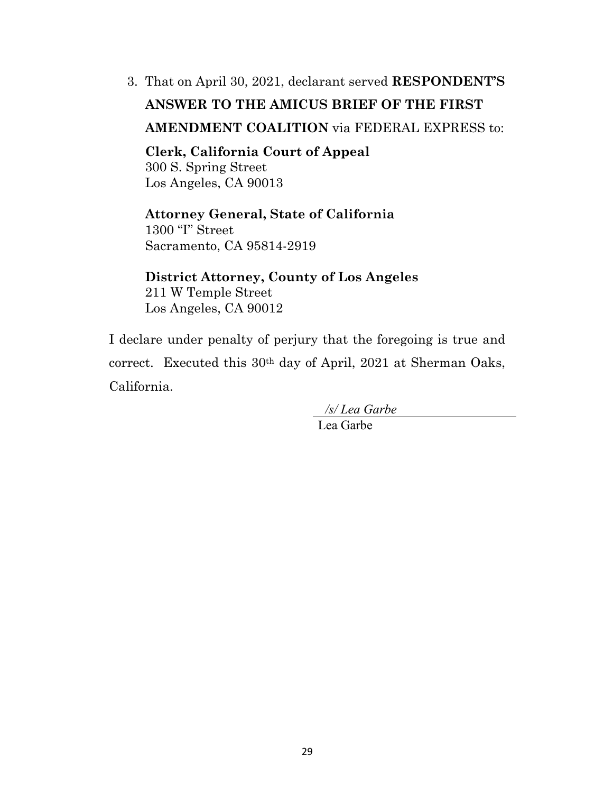3. That on April 30, 2021, declarant served **RESPONDENT'S** 

# **ANSWER TO THE AMICUS BRIEF OF THE FIRST**

## **AMENDMENT COALITION** via FEDERAL EXPRESS to:

**Clerk, California Court of Appeal** 300 S. Spring Street Los Angeles, CA 90013

## **Attorney General, State of California** 1300 "I" Street

Sacramento, CA 95814-2919

**District Attorney, County of Los Angeles** 211 W Temple Street Los Angeles, CA 90012

I declare under penalty of perjury that the foregoing is true and correct. Executed this 30th day of April, 2021 at Sherman Oaks, California.

*/s/ Lea Garbe*

Lea Garbe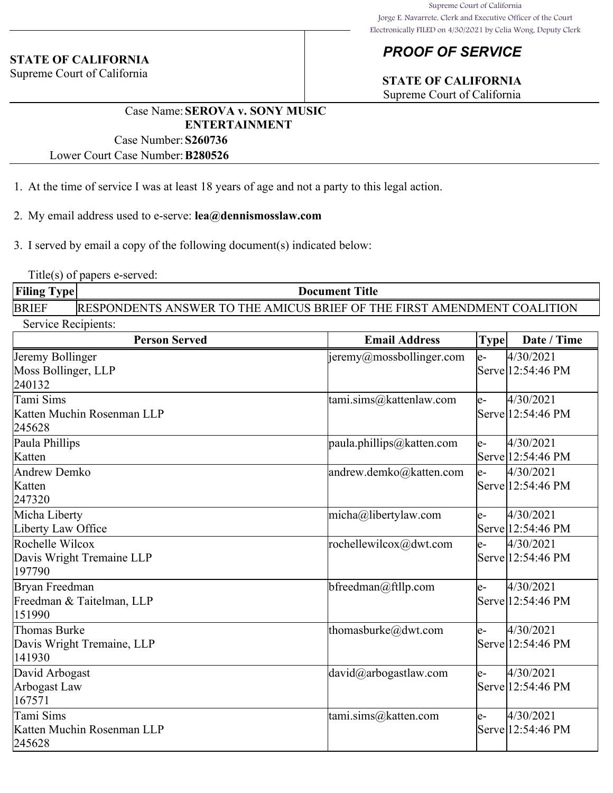#### **STATE OF CALIFORNIA**

Supreme Court of California

# *PROOF OF SERVICE*

# **STATE OF CALIFORNIA**

Supreme Court of California

#### Case Name:**SEROVA v. SONY MUSIC ENTERTAINMENT**

Case Number:**S260736**

Lower Court Case Number:**B280526**

- 1. At the time of service I was at least 18 years of age and not a party to this legal action.
- 2. My email address used to e-serve: **lea@dennismosslaw.com**

3. I served by email a copy of the following document(s) indicated below:

Title(s) of papers e-served:

| <b>Filing Type</b> | <b>Document Title</b>                                                          |  |  |
|--------------------|--------------------------------------------------------------------------------|--|--|
| <b>BRIEF</b>       | <b>RESPONDENTS ANSWER TO THE AMICUS BRIEF OF THE FIRST AMENDMENT COALITION</b> |  |  |
| Service Recipients |                                                                                |  |  |

| <b>Person Served</b>                                   | <b>Email Address</b>          | <b>Type</b> | Date / Time                    |
|--------------------------------------------------------|-------------------------------|-------------|--------------------------------|
| Jeremy Bollinger<br>Moss Bollinger, LLP<br>240132      | jeremy@mossbollinger.com      | $e-$        | 4/30/2021<br>Serve 12:54:46 PM |
| Tami Sims<br>Katten Muchin Rosenman LLP<br>245628      | tami.sims@kattenlaw.com       | $e-$        | 4/30/2021<br>Serve 12:54:46 PM |
| Paula Phillips<br>Katten                               | $ $ paula.phillips@katten.com | $e-$        | 4/30/2021<br>Serve 12:54:46 PM |
| Andrew Demko<br>Katten<br>247320                       | andrew.demko@katten.com       | $e-$        | 4/30/2021<br>Serve 12:54:46 PM |
| Micha Liberty<br>Liberty Law Office                    | micha@libertylaw.com          | $e-$        | 4/30/2021<br>Serve 12:54:46 PM |
| Rochelle Wilcox<br>Davis Wright Tremaine LLP<br>197790 | rochellewilcox@dwt.com        | $e-$        | 4/30/2021<br>Serve 12:54:46 PM |
| Bryan Freedman<br>Freedman & Taitelman, LLP<br>151990  | bfreedman@ftllp.com           | $e-$        | 4/30/2021<br>Serve 12:54:46 PM |
| Thomas Burke<br>Davis Wright Tremaine, LLP<br>141930   | thomasburke@dwt.com           | $e-$        | 4/30/2021<br>Serve 12:54:46 PM |
| David Arbogast<br>Arbogast Law<br>167571               | david@arbogastlaw.com         | $e-$        | 4/30/2021<br>Serve 12:54:46 PM |
| Tami Sims<br>Katten Muchin Rosenman LLP<br>245628      | tami.sims@katten.com          | $e-$        | 4/30/2021<br>Serve 12:54:46 PM |